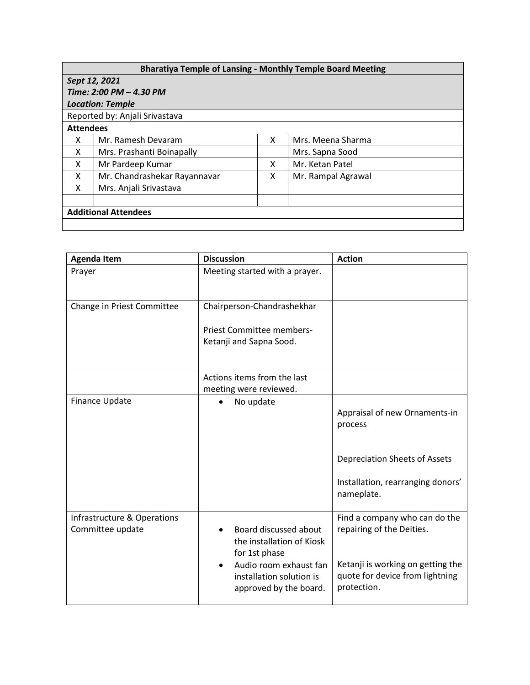## **Bharatiya Temple of Lansing - Monthly Temple Board Meeting**

|                                | <b>PHANGE ISHIPIC OF EXHOLIS THORNITY ISHIPIC DOGLA INCONNI</b> S |   |                    |  |  |  |
|--------------------------------|-------------------------------------------------------------------|---|--------------------|--|--|--|
| Sept 12, 2021                  |                                                                   |   |                    |  |  |  |
| Time: 2:00 PM - 4.30 PM        |                                                                   |   |                    |  |  |  |
| <b>Location: Temple</b>        |                                                                   |   |                    |  |  |  |
| Reported by: Anjali Srivastava |                                                                   |   |                    |  |  |  |
| <b>Attendees</b>               |                                                                   |   |                    |  |  |  |
| X                              | Mr. Ramesh Devaram                                                | X | Mrs. Meena Sharma  |  |  |  |
| X                              | Mrs. Prashanti Boinapally                                         |   | Mrs. Sapna Sood    |  |  |  |
| X                              | Mr Pardeep Kumar                                                  | x | Mr. Ketan Patel    |  |  |  |
| X                              | Mr. Chandrashekar Rayannavar                                      | x | Mr. Rampal Agrawal |  |  |  |
| X                              | Mrs. Anjali Srivastava                                            |   |                    |  |  |  |
|                                |                                                                   |   |                    |  |  |  |
| <b>Additional Attendees</b>    |                                                                   |   |                    |  |  |  |
|                                |                                                                   |   |                    |  |  |  |
|                                |                                                                   |   |                    |  |  |  |

| <b>Agenda Item</b>                              | <b>Discussion</b>                                                                                                                                   | <b>Action</b>                                                                                                                                     |  |
|-------------------------------------------------|-----------------------------------------------------------------------------------------------------------------------------------------------------|---------------------------------------------------------------------------------------------------------------------------------------------------|--|
| Prayer                                          | Meeting started with a prayer.                                                                                                                      |                                                                                                                                                   |  |
| Change in Priest Committee                      | Chairperson-Chandrashekhar<br>Priest Committee members-<br>Ketanji and Sapna Sood.                                                                  |                                                                                                                                                   |  |
|                                                 | Actions items from the last<br>meeting were reviewed.                                                                                               |                                                                                                                                                   |  |
| Finance Update                                  | No update                                                                                                                                           | Appraisal of new Ornaments-in<br>process                                                                                                          |  |
|                                                 |                                                                                                                                                     | <b>Depreciation Sheets of Assets</b><br>Installation, rearranging donors'<br>nameplate.                                                           |  |
| Infrastructure & Operations<br>Committee update | Board discussed about<br>the installation of Kiosk<br>for 1st phase<br>Audio room exhaust fan<br>installation solution is<br>approved by the board. | Find a company who can do the<br>repairing of the Deities.<br>Ketanji is working on getting the<br>quote for device from lightning<br>protection. |  |